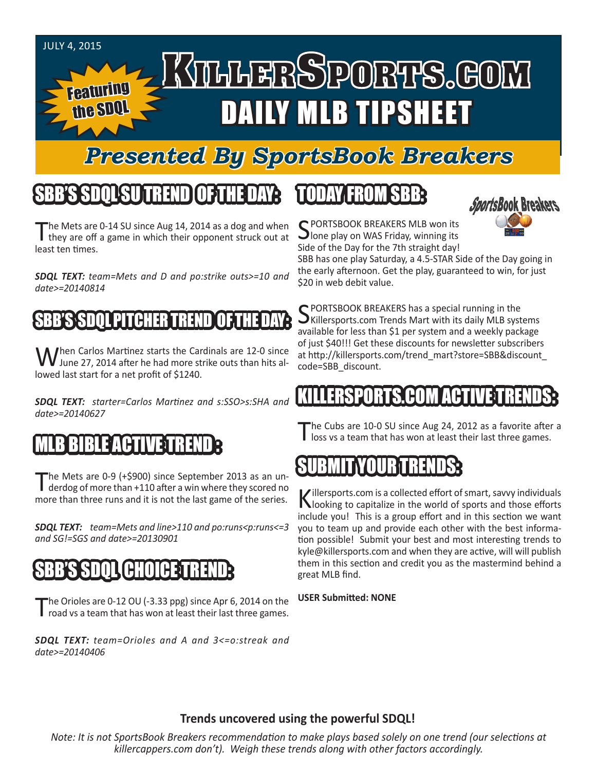

Featuring

the SDQL

# KTHHERSPORTS.GOM DAILY MLB TIPSHEET

### *Presented By SportsBook Breakers*

#### SBB'S SDQLSU TREND OF THE DAY:

The Mets are 0-14 SU since Aug 14, 2014 as a dog and when they are off a game in which their opponent struck out at least ten times.

*SDQL TEXT: team=Mets and D and po:strike outs>=10 and date>=20140814*

#### **SBB'S SDOL PITCHER TREND**

When Carlos Martinez starts the Cardinals are 12-0 since<br>June 27, 2014 after he had more strike outs than hits allowed last start for a net profit of \$1240.

*SDQL TEXT: starter=Carlos Martinez and s:SSO>s:SHA and date>=20140627*

#### BLE ACTIV

The Mets are 0-9 (+\$900) since September 2013 as an underdog of more than +110 after a win where they scored no more than three runs and it is not the last game of the series.

*SDQL TEXT: team=Mets and line>110 and po:runs<p:runs<=3 and SG!=SGS and date>=20130901* 

#### (SBB'S SDQL CHOICE T

The Orioles are 0-12 OU (-3.33 ppg) since Apr 6, 2014 on the road vs a team that has won at least their last three games.

*SDQL TEXT: team=Orioles and A and 3<=o:streak and date>=20140406*

#### TODAY FROM SBB:



C PORTSBOOK BREAKERS MLB won its  $\bigcup$  lone play on WAS Friday, winning its Side of the Day for the 7th straight day!

SBB has one play Saturday, a 4.5-STAR Side of the Day going in the early afternoon. Get the play, guaranteed to win, for just \$20 in web debit value.

C PORTSBOOK BREAKERS has a special running in the  $\bigcup$ Killersports.com Trends Mart with its daily MLB systems available for less than \$1 per system and a weekly package of just \$40!!! Get these discounts for newsletter subscribers at http://killersports.com/trend\_mart?store=SBB&discount\_ code=SBB\_discount.

#### ERSPORTS.COM ACT

The Cubs are 10-0 SU since Aug 24, 2012 as a favorite after a loss vs a team that has won at least their last three games.

#### SUBMIT YOUR TRENDS:

Killersports.com is a collected effort of smart, savvy individuals<br>Nooking to capitalize in the world of sports and those efforts include you! This is a group effort and in this section we want you to team up and provide each other with the best information possible! Submit your best and most interesting trends to kyle@killersports.com and when they are active, will will publish them in this section and credit you as the mastermind behind a great MLB find.

**USER Submitted: NONE**

#### **Trends uncovered using the powerful SDQL!**

*Note: It is not SportsBook Breakers recommendation to make plays based solely on one trend (our selections at killercappers.com don't). Weigh these trends along with other factors accordingly.*